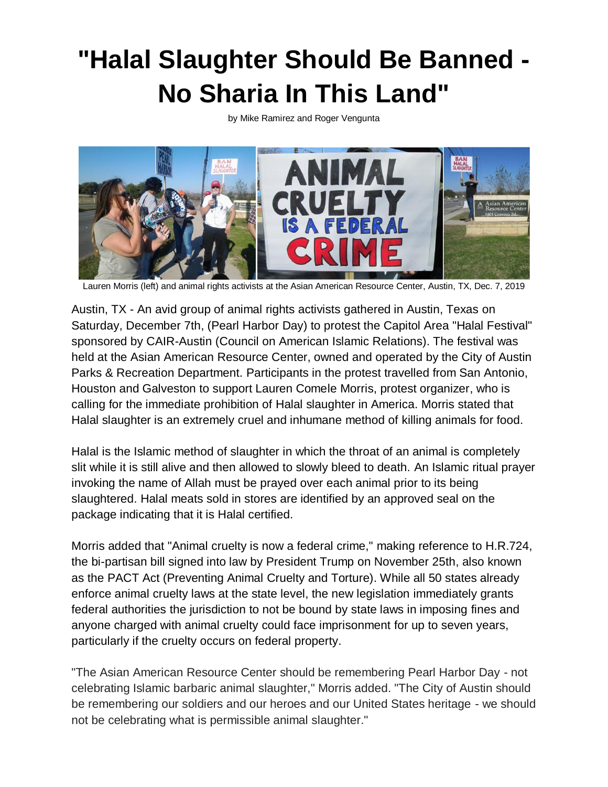## **"Halal Slaughter Should Be Banned - No Sharia In This Land"**

by Mike Ramirez and Roger Vengunta



Lauren Morris (left) and animal rights activists at the Asian American Resource Center, Austin, TX, Dec. 7, 2019

Austin, TX - An avid group of animal rights activists gathered in Austin, Texas on Saturday, December 7th, (Pearl Harbor Day) to protest the Capitol Area "Halal Festival" sponsored by CAIR-Austin (Council on American Islamic Relations). The festival was held at the Asian American Resource Center, owned and operated by the City of Austin Parks & Recreation Department. Participants in the protest travelled from San Antonio, Houston and Galveston to support Lauren Comele Morris, protest organizer, who is calling for the immediate prohibition of Halal slaughter in America. Morris stated that Halal slaughter is an extremely cruel and inhumane method of killing animals for food.

Halal is the Islamic method of slaughter in which the throat of an animal is completely slit while it is still alive and then allowed to slowly bleed to death. An Islamic ritual prayer invoking the name of Allah must be prayed over each animal prior to its being slaughtered. Halal meats sold in stores are identified by an approved seal on the package indicating that it is Halal certified.

Morris added that "Animal cruelty is now a federal crime," making reference to H.R.724, the bi-partisan bill signed into law by President Trump on November 25th, also known as the PACT Act (Preventing Animal Cruelty and Torture). While all 50 states already enforce animal cruelty laws at the state level, the new legislation immediately grants federal authorities the jurisdiction to not be bound by state laws in imposing fines and anyone charged with animal cruelty could face imprisonment for up to seven years, particularly if the cruelty occurs on federal property.

"The Asian American Resource Center should be remembering Pearl Harbor Day - not celebrating Islamic barbaric animal slaughter," Morris added. "The City of Austin should be remembering our soldiers and our heroes and our United States heritage - we should not be celebrating what is permissible animal slaughter."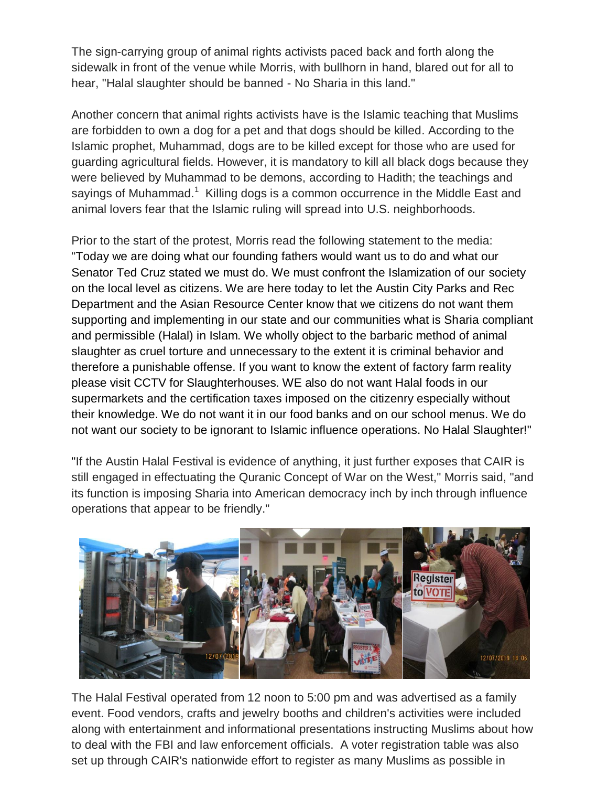The sign-carrying group of animal rights activists paced back and forth along the sidewalk in front of the venue while Morris, with bullhorn in hand, blared out for all to hear, "Halal slaughter should be banned - No Sharia in this land."

Another concern that animal rights activists have is the Islamic teaching that Muslims are forbidden to own a dog for a pet and that dogs should be killed. According to the Islamic prophet, Muhammad, dogs are to be killed except for those who are used for guarding agricultural fields. However, it is mandatory to kill all black dogs because they were believed by Muhammad to be demons, according to Hadith; the teachings and sayings of Muhammad.<sup>1</sup> Killing dogs is a common occurrence in the Middle East and animal lovers fear that the Islamic ruling will spread into U.S. neighborhoods.

Prior to the start of the protest, Morris read the following statement to the media: "Today we are doing what our founding fathers would want us to do and what our Senator Ted Cruz stated we must do. We must confront the Islamization of our society on the local level as citizens. We are here today to let the Austin City Parks and Rec Department and the Asian Resource Center know that we citizens do not want them supporting and implementing in our state and our communities what is Sharia compliant and permissible (Halal) in Islam. We wholly object to the barbaric method of animal slaughter as cruel torture and unnecessary to the extent it is criminal behavior and therefore a punishable offense. If you want to know the extent of factory farm reality please visit CCTV for Slaughterhouses. WE also do not want Halal foods in our supermarkets and the certification taxes imposed on the citizenry especially without their knowledge. We do not want it in our food banks and on our school menus. We do not want our society to be ignorant to Islamic influence operations. No Halal Slaughter!"

"If the Austin Halal Festival is evidence of anything, it just further exposes that CAIR is still engaged in effectuating the Quranic Concept of War on the West," Morris said, "and its function is imposing Sharia into American democracy inch by inch through influence operations that appear to be friendly."



The Halal Festival operated from 12 noon to 5:00 pm and was advertised as a family event. Food vendors, crafts and jewelry booths and children's activities were included along with entertainment and informational presentations instructing Muslims about how to deal with the FBI and law enforcement officials. A voter registration table was also set up through CAIR's nationwide effort to register as many Muslims as possible in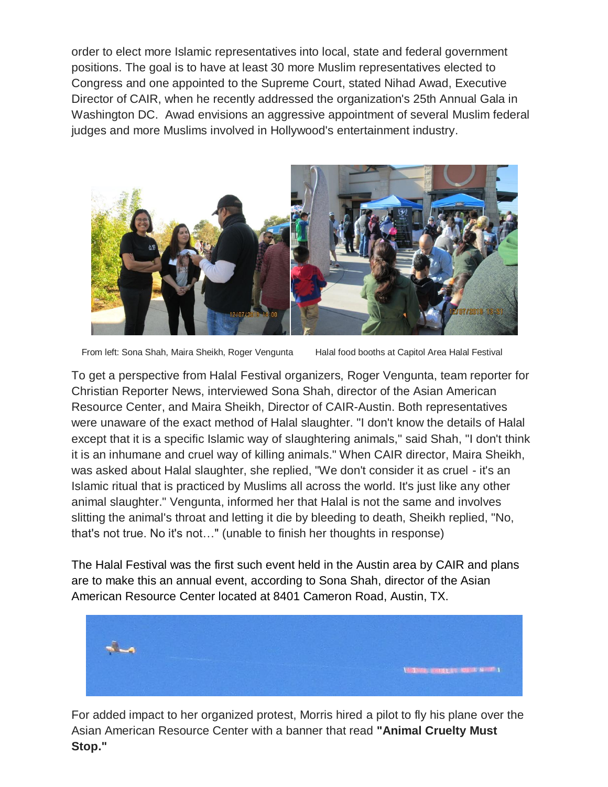order to elect more Islamic representatives into local, state and federal government positions. The goal is to have at least 30 more Muslim representatives elected to Congress and one appointed to the Supreme Court, stated Nihad Awad, Executive Director of CAIR, when he recently addressed the organization's 25th Annual Gala in Washington DC. Awad envisions an aggressive appointment of several Muslim federal judges and more Muslims involved in Hollywood's entertainment industry.



From left: Sona Shah, Maira Sheikh, Roger Vengunta Halal food booths at Capitol Area Halal Festival

To get a perspective from Halal Festival organizers, Roger Vengunta, team reporter for Christian Reporter News, interviewed Sona Shah, director of the Asian American Resource Center, and Maira Sheikh, Director of CAIR-Austin. Both representatives were unaware of the exact method of Halal slaughter. "I don't know the details of Halal except that it is a specific Islamic way of slaughtering animals," said Shah, "I don't think it is an inhumane and cruel way of killing animals." When CAIR director, Maira Sheikh, was asked about Halal slaughter, she replied, "We don't consider it as cruel - it's an Islamic ritual that is practiced by Muslims all across the world. It's just like any other animal slaughter." Vengunta, informed her that Halal is not the same and involves slitting the animal's throat and letting it die by bleeding to death, Sheikh replied, "No, that's not true. No it's not…" (unable to finish her thoughts in response)

The Halal Festival was the first such event held in the Austin area by CAIR and plans are to make this an annual event, according to Sona Shah, director of the Asian American Resource Center located at 8401 Cameron Road, Austin, TX.



For added impact to her organized protest, Morris hired a pilot to fly his plane over the Asian American Resource Center with a banner that read **"Animal Cruelty Must Stop."**